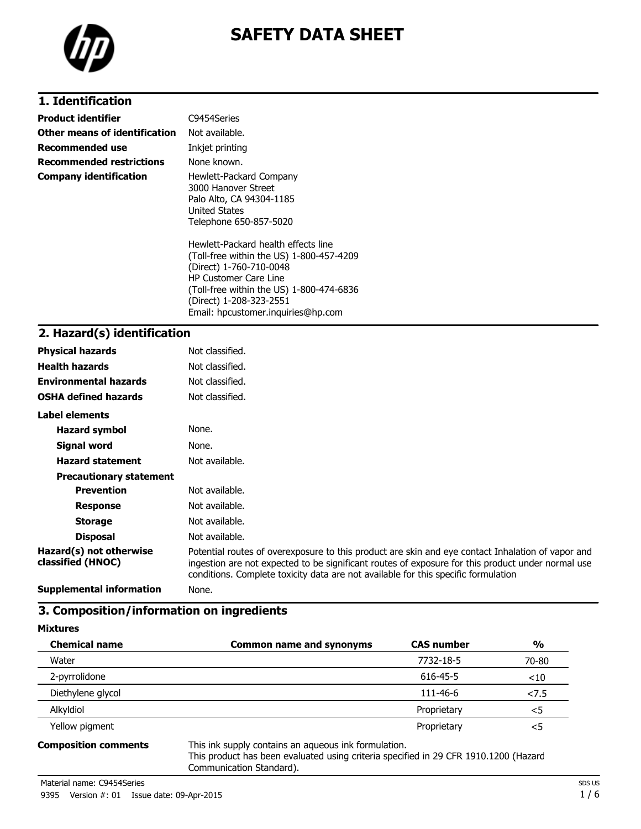

# **SAFETY DATA SHEET**

### **1. Identification**

| Product identifier            | C9454Series                                                                                                                                                                                                       |
|-------------------------------|-------------------------------------------------------------------------------------------------------------------------------------------------------------------------------------------------------------------|
| Other means of identification | Not available.                                                                                                                                                                                                    |
| Recommended use               | Inkjet printing                                                                                                                                                                                                   |
| Recommended restrictions      | None known.                                                                                                                                                                                                       |
| Company identification        | Hewlett-Packard Company<br>3000 Hanover Street<br>Palo Alto, CA 94304-1185<br><b>United States</b><br>Telephone 650-857-5020                                                                                      |
|                               | Hewlett-Packard health effects line<br>(Toll-free within the US) 1-800-457-4209<br>(Direct) 1-760-710-0048<br><b>HP Customer Care Line</b><br>(Toll-free within the US) 1-800-474-6836<br>(Direct) 1-208-323-2551 |

Email: hpcustomer.inquiries@hp.com

#### **2. Hazard(s) identification**

| <b>Physical hazards</b>                      | Not classified.                                                                                                                                                                                                                                                                              |
|----------------------------------------------|----------------------------------------------------------------------------------------------------------------------------------------------------------------------------------------------------------------------------------------------------------------------------------------------|
| <b>Health hazards</b>                        | Not classified.                                                                                                                                                                                                                                                                              |
| <b>Environmental hazards</b>                 | Not classified.                                                                                                                                                                                                                                                                              |
| <b>OSHA defined hazards</b>                  | Not classified.                                                                                                                                                                                                                                                                              |
| Label elements                               |                                                                                                                                                                                                                                                                                              |
| <b>Hazard symbol</b>                         | None.                                                                                                                                                                                                                                                                                        |
| Signal word                                  | None.                                                                                                                                                                                                                                                                                        |
| <b>Hazard statement</b>                      | Not available.                                                                                                                                                                                                                                                                               |
| <b>Precautionary statement</b>               |                                                                                                                                                                                                                                                                                              |
| <b>Prevention</b>                            | Not available.                                                                                                                                                                                                                                                                               |
| <b>Response</b>                              | Not available.                                                                                                                                                                                                                                                                               |
| <b>Storage</b>                               | Not available.                                                                                                                                                                                                                                                                               |
| <b>Disposal</b>                              | Not available.                                                                                                                                                                                                                                                                               |
| Hazard(s) not otherwise<br>classified (HNOC) | Potential routes of overexposure to this product are skin and eye contact Inhalation of vapor and<br>ingestion are not expected to be significant routes of exposure for this product under normal use<br>conditions. Complete toxicity data are not available for this specific formulation |
| <b>Supplemental information</b>              | None.                                                                                                                                                                                                                                                                                        |

# **3. Composition/information on ingredients**

**Mixtures**

| <b>Chemical name</b>                                                                                           | <b>Common name and synonyms</b>                                                                                                                                                                                                | <b>CAS number</b> | $\frac{1}{2}$ |
|----------------------------------------------------------------------------------------------------------------|--------------------------------------------------------------------------------------------------------------------------------------------------------------------------------------------------------------------------------|-------------------|---------------|
| Water                                                                                                          |                                                                                                                                                                                                                                | 7732-18-5         | 70-80         |
| 2-pyrrolidone                                                                                                  |                                                                                                                                                                                                                                | 616-45-5          | ~10           |
| Diethylene glycol                                                                                              |                                                                                                                                                                                                                                | 111-46-6          | < 7.5         |
| Alkyldiol                                                                                                      |                                                                                                                                                                                                                                | Proprietary       | $<$ 5         |
| Yellow pigment                                                                                                 |                                                                                                                                                                                                                                | Proprietary       | $<$ 5         |
| And a company of the first product and a series of the series of the series of the series of the series of the | $\pm$ between the compact of the contraction of the compact of the contract of the contract of the contract of the contract of the contract of the contract of the contract of the contract of the contract of the contract of |                   |               |

**Composition comments** This ink supply contains an aqueous ink formulation.

This product has been evaluated using criteria specified in 29 CFR 1910.1200 (Hazard Communication Standard).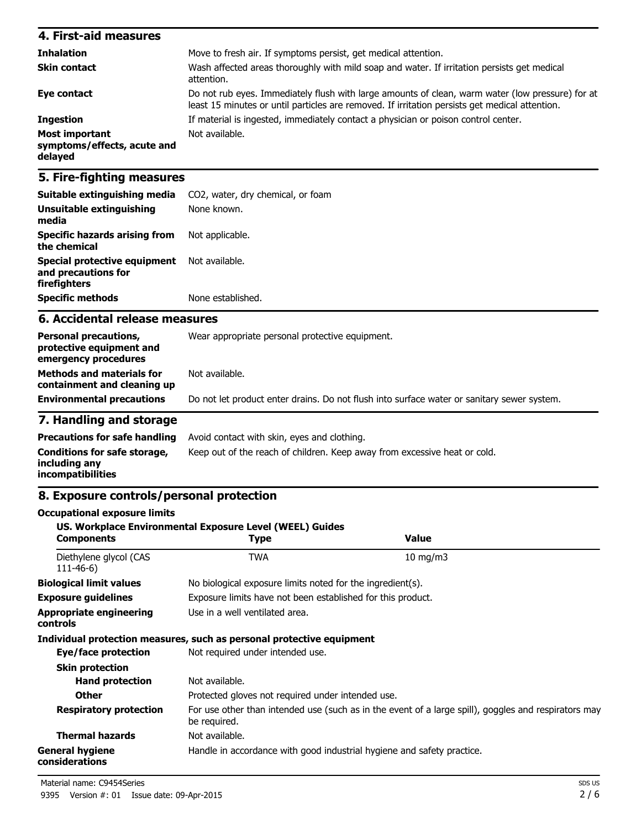| 4. First-aid measures                                           |                                                                                                                                                                                                    |
|-----------------------------------------------------------------|----------------------------------------------------------------------------------------------------------------------------------------------------------------------------------------------------|
| <b>Inhalation</b>                                               | Move to fresh air. If symptoms persist, get medical attention.                                                                                                                                     |
| <b>Skin contact</b>                                             | Wash affected areas thoroughly with mild soap and water. If irritation persists get medical<br>attention.                                                                                          |
| Eye contact                                                     | Do not rub eyes. Immediately flush with large amounts of clean, warm water (low pressure) for at<br>least 15 minutes or until particles are removed. If irritation persists get medical attention. |
| <b>Ingestion</b>                                                | If material is ingested, immediately contact a physician or poison control center.                                                                                                                 |
| <b>Most important</b><br>symptoms/effects, acute and<br>delayed | Not available.                                                                                                                                                                                     |

#### **5. Fire-fighting measures**

| Suitable extinguishing media<br><b>Unsuitable extinguishing</b><br>media | CO <sub>2</sub> , water, dry chemical, or foam<br>None known. |
|--------------------------------------------------------------------------|---------------------------------------------------------------|
| Specific hazards arising from<br>the chemical                            | Not applicable.                                               |
| Special protective equipment<br>and precautions for<br>firefighters      | Not available.                                                |
| <b>Specific methods</b>                                                  | None established.                                             |

#### **6. Accidental release measures**

| <b>Personal precautions,</b><br>protective equipment and<br>emergency procedures | Wear appropriate personal protective equipment.                                            |
|----------------------------------------------------------------------------------|--------------------------------------------------------------------------------------------|
| <b>Methods and materials for</b><br>containment and cleaning up                  | Not available.                                                                             |
| <b>Environmental precautions</b>                                                 | Do not let product enter drains. Do not flush into surface water or sanitary sewer system. |

### **7. Handling and storage**

|                                                                    | <b>Precautions for safe handling</b> Avoid contact with skin, eyes and clothing. |
|--------------------------------------------------------------------|----------------------------------------------------------------------------------|
| Conditions for safe storage,<br>including any<br>incompatibilities | Keep out of the reach of children. Keep away from excessive heat or cold.        |

#### **8. Exposure controls/personal protection**

#### **Occupational exposure limits US. Workplace Environmental Exposure Level (WEEL) Guides Components Type Value** Diethylene glycol (CAS TWA 10 mg/m3 111-46-6) **Biological limit values** No biological exposure limits noted for the ingredient(s). **Exposure guidelines** Exposure limits have not been established for this product. **Appropriate engineering controls** Use in a well ventilated area. **Individual protection measures, such as personal protective equipment Eye/face protection** Not required under intended use. **Skin protection Hand protection** Not available. **Other** Protected gloves not required under intended use. Respiratory protection For use other than intended use (such as in the event of a large spill), goggles and respirators may be required. **Thermal hazards** Not available. **General hygiene considerations** Handle in accordance with good industrial hygiene and safety practice.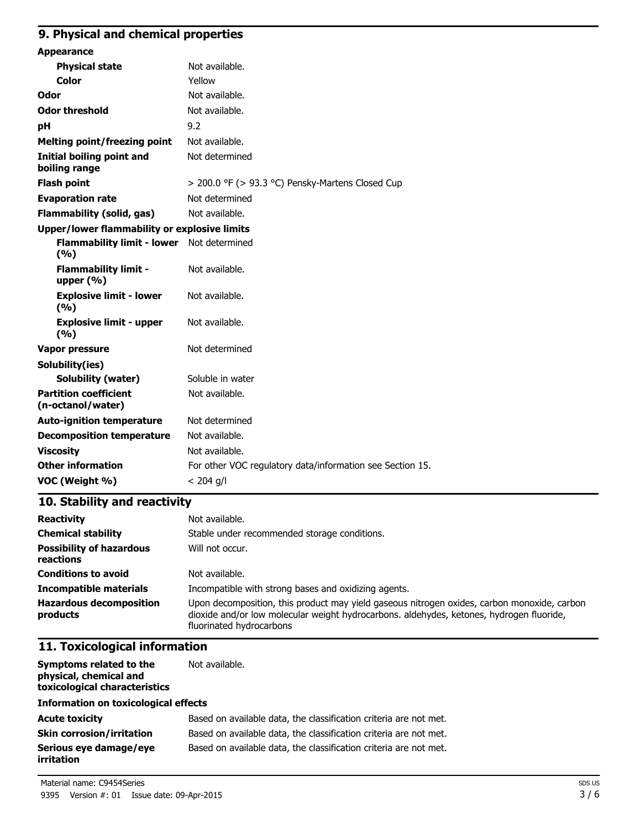# **9. Physical and chemical properties**

| <b>Appearance</b>                                  |                                                           |
|----------------------------------------------------|-----------------------------------------------------------|
| <b>Physical state</b>                              | Not available.                                            |
| <b>Color</b>                                       | Yellow                                                    |
| Odor                                               | Not available.                                            |
| <b>Odor threshold</b>                              | Not available.                                            |
| рH                                                 | 9.2                                                       |
| <b>Melting point/freezing point</b>                | Not available.                                            |
| Initial boiling point and<br>boiling range         | Not determined                                            |
| <b>Flash point</b>                                 | > 200.0 °F (> 93.3 °C) Pensky-Martens Closed Cup          |
| <b>Evaporation rate</b>                            | Not determined                                            |
| <b>Flammability (solid, gas)</b>                   | Not available.                                            |
| Upper/lower flammability or explosive limits       |                                                           |
| Flammability limit - lower Not determined<br>(9/6) |                                                           |
| <b>Flammability limit -</b><br>upper $(\% )$       | Not available.                                            |
| <b>Explosive limit - lower</b><br>(9/6)            | Not available.                                            |
| <b>Explosive limit - upper</b><br>(%)              | Not available.                                            |
| Vapor pressure                                     | Not determined                                            |
| Solubility(ies)                                    |                                                           |
| <b>Solubility (water)</b>                          | Soluble in water                                          |
| <b>Partition coefficient</b><br>(n-octanol/water)  | Not available.                                            |
| <b>Auto-ignition temperature</b>                   | Not determined                                            |
| <b>Decomposition temperature</b>                   | Not available.                                            |
| <b>Viscosity</b>                                   | Not available.                                            |
| <b>Other information</b>                           | For other VOC regulatory data/information see Section 15. |
| VOC (Weight %)                                     | $< 204$ g/l                                               |

# **10. Stability and reactivity**

| <b>Reactivity</b>                            | Not available.                                                                                                                                                                                                      |
|----------------------------------------------|---------------------------------------------------------------------------------------------------------------------------------------------------------------------------------------------------------------------|
| <b>Chemical stability</b>                    | Stable under recommended storage conditions.                                                                                                                                                                        |
| <b>Possibility of hazardous</b><br>reactions | Will not occur.                                                                                                                                                                                                     |
| <b>Conditions to avoid</b>                   | Not available.                                                                                                                                                                                                      |
| <b>Incompatible materials</b>                | Incompatible with strong bases and oxidizing agents.                                                                                                                                                                |
| <b>Hazardous decomposition</b><br>products   | Upon decomposition, this product may yield gaseous nitrogen oxides, carbon monoxide, carbon<br>dioxide and/or low molecular weight hydrocarbons. aldehydes, ketones, hydrogen fluoride,<br>fluorinated hydrocarbons |

### **11. Toxicological information**

| Symptoms related to the<br>physical, chemical and<br>toxicological characteristics | Not available.                                                    |
|------------------------------------------------------------------------------------|-------------------------------------------------------------------|
| <b>Information on toxicological effects</b>                                        |                                                                   |
| <b>Acute toxicity</b>                                                              | Based on available data, the classification criteria are not met. |
| <b>Skin corrosion/irritation</b>                                                   | Based on available data, the classification criteria are not met. |
| Serious eye damage/eye<br><b>irritation</b>                                        | Based on available data, the classification criteria are not met. |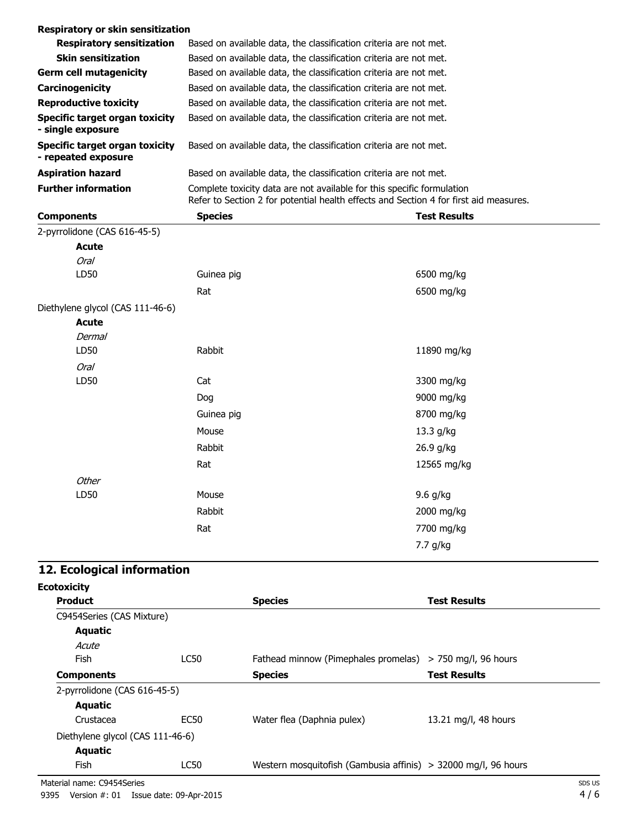| <b>Respiratory or skin sensitization</b>                   |                                                                                                                                                                 |                     |  |
|------------------------------------------------------------|-----------------------------------------------------------------------------------------------------------------------------------------------------------------|---------------------|--|
| <b>Respiratory sensitization</b>                           | Based on available data, the classification criteria are not met.                                                                                               |                     |  |
| <b>Skin sensitization</b>                                  | Based on available data, the classification criteria are not met.                                                                                               |                     |  |
| <b>Germ cell mutagenicity</b>                              | Based on available data, the classification criteria are not met.                                                                                               |                     |  |
| Carcinogenicity                                            | Based on available data, the classification criteria are not met.                                                                                               |                     |  |
| <b>Reproductive toxicity</b>                               | Based on available data, the classification criteria are not met.                                                                                               |                     |  |
| <b>Specific target organ toxicity</b><br>- single exposure | Based on available data, the classification criteria are not met.                                                                                               |                     |  |
| Specific target organ toxicity<br>- repeated exposure      | Based on available data, the classification criteria are not met.                                                                                               |                     |  |
| <b>Aspiration hazard</b>                                   | Based on available data, the classification criteria are not met.                                                                                               |                     |  |
| <b>Further information</b>                                 | Complete toxicity data are not available for this specific formulation<br>Refer to Section 2 for potential health effects and Section 4 for first aid measures. |                     |  |
| <b>Components</b>                                          | <b>Species</b>                                                                                                                                                  | <b>Test Results</b> |  |
| 2-pyrrolidone (CAS 616-45-5)                               |                                                                                                                                                                 |                     |  |
| <b>Acute</b>                                               |                                                                                                                                                                 |                     |  |
| <b>Oral</b>                                                |                                                                                                                                                                 |                     |  |
| LD50                                                       | Guinea pig                                                                                                                                                      | 6500 mg/kg          |  |
|                                                            | Rat                                                                                                                                                             | 6500 mg/kg          |  |
| Diethylene glycol (CAS 111-46-6)                           |                                                                                                                                                                 |                     |  |
| <b>Acute</b>                                               |                                                                                                                                                                 |                     |  |
| Dermal                                                     |                                                                                                                                                                 |                     |  |
| LD50                                                       | Rabbit                                                                                                                                                          | 11890 mg/kg         |  |
| Oral                                                       |                                                                                                                                                                 |                     |  |
| LD50                                                       | Cat                                                                                                                                                             | 3300 mg/kg          |  |
|                                                            | Dog                                                                                                                                                             | 9000 mg/kg          |  |
|                                                            | Guinea pig                                                                                                                                                      | 8700 mg/kg          |  |
|                                                            | Mouse                                                                                                                                                           | 13.3 g/kg           |  |
|                                                            | Rabbit                                                                                                                                                          | 26.9 g/kg           |  |
|                                                            | Rat                                                                                                                                                             | 12565 mg/kg         |  |

# **12. Ecological information**

**Other** 

LD50 Mouse

| <b>Ecotoxicity</b>               |             |                                                                |                      |
|----------------------------------|-------------|----------------------------------------------------------------|----------------------|
| <b>Product</b>                   |             | <b>Species</b>                                                 | <b>Test Results</b>  |
| C9454Series (CAS Mixture)        |             |                                                                |                      |
| Aquatic                          |             |                                                                |                      |
| Acute                            |             |                                                                |                      |
| <b>Fish</b>                      | <b>LC50</b> | Fathead minnow (Pimephales promelas) $>$ 750 mg/l, 96 hours    |                      |
| <b>Components</b>                |             | <b>Species</b>                                                 | <b>Test Results</b>  |
| 2-pyrrolidone (CAS 616-45-5)     |             |                                                                |                      |
| Aquatic                          |             |                                                                |                      |
| Crustacea                        | EC50        | Water flea (Daphnia pulex)                                     | 13.21 mg/l, 48 hours |
| Diethylene glycol (CAS 111-46-6) |             |                                                                |                      |
| <b>Aquatic</b>                   |             |                                                                |                      |
| Fish                             | LC50        | Western mosquitofish (Gambusia affinis) > 32000 mg/l, 96 hours |                      |

Rabbit 2000 mg/kg Rat 7700 mg/kg

9.6 g/kg

7.7 g/kg

Material name: C9454Series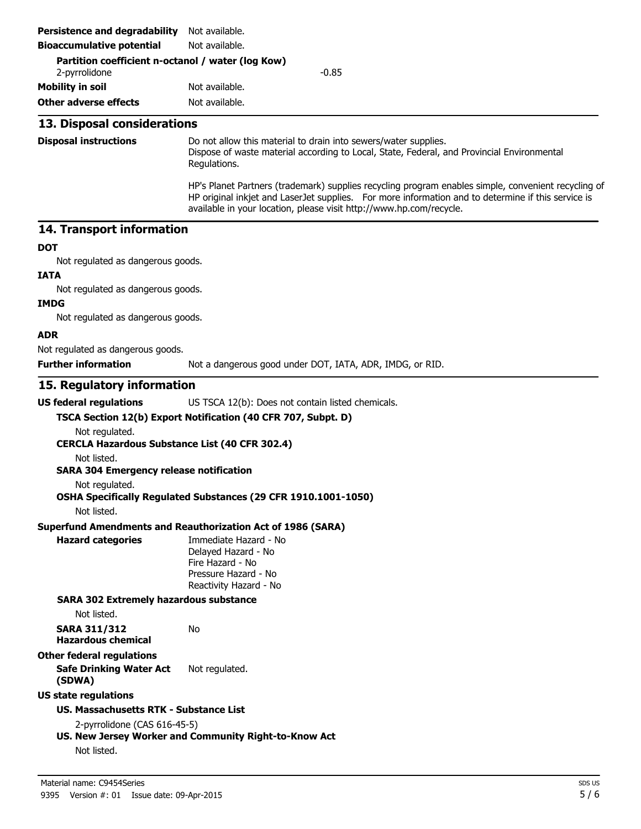| <b>Persistence and degradability</b>                                         | Not available.                                                                                                                                                                                                                                                                   |
|------------------------------------------------------------------------------|----------------------------------------------------------------------------------------------------------------------------------------------------------------------------------------------------------------------------------------------------------------------------------|
| <b>Bioaccumulative potential</b>                                             | Not available.                                                                                                                                                                                                                                                                   |
| Partition coefficient n-octanol / water (log Kow)<br>2-pyrrolidone           | $-0.85$                                                                                                                                                                                                                                                                          |
| <b>Mobility in soil</b>                                                      | Not available.                                                                                                                                                                                                                                                                   |
| <b>Other adverse effects</b>                                                 | Not available.                                                                                                                                                                                                                                                                   |
| 13. Disposal considerations                                                  |                                                                                                                                                                                                                                                                                  |
| <b>Disposal instructions</b>                                                 | Do not allow this material to drain into sewers/water supplies.<br>Dispose of waste material according to Local, State, Federal, and Provincial Environmental<br>Regulations.                                                                                                    |
|                                                                              | HP's Planet Partners (trademark) supplies recycling program enables simple, convenient recycling of<br>HP original inkjet and LaserJet supplies. For more information and to determine if this service is<br>available in your location, please visit http://www.hp.com/recycle. |
| 14. Transport information                                                    |                                                                                                                                                                                                                                                                                  |
| <b>DOT</b>                                                                   |                                                                                                                                                                                                                                                                                  |
| Not regulated as dangerous goods.                                            |                                                                                                                                                                                                                                                                                  |
| <b>IATA</b>                                                                  |                                                                                                                                                                                                                                                                                  |
| Not regulated as dangerous goods.                                            |                                                                                                                                                                                                                                                                                  |
| <b>IMDG</b><br>Not regulated as dangerous goods.                             |                                                                                                                                                                                                                                                                                  |
| <b>ADR</b>                                                                   |                                                                                                                                                                                                                                                                                  |
| Not regulated as dangerous goods.                                            |                                                                                                                                                                                                                                                                                  |
| <b>Further information</b>                                                   | Not a dangerous good under DOT, IATA, ADR, IMDG, or RID.                                                                                                                                                                                                                         |
|                                                                              |                                                                                                                                                                                                                                                                                  |
| 15. Regulatory information                                                   |                                                                                                                                                                                                                                                                                  |
| <b>US federal regulations</b>                                                | US TSCA 12(b): Does not contain listed chemicals.                                                                                                                                                                                                                                |
| Not regulated.<br><b>CERCLA Hazardous Substance List (40 CFR 302.4)</b>      | TSCA Section 12(b) Export Notification (40 CFR 707, Subpt. D)                                                                                                                                                                                                                    |
| Not listed.<br><b>SARA 304 Emergency release notification</b>                |                                                                                                                                                                                                                                                                                  |
| Not regulated.<br>Not listed.                                                | OSHA Specifically Regulated Substances (29 CFR 1910.1001-1050)                                                                                                                                                                                                                   |
|                                                                              | <b>Superfund Amendments and Reauthorization Act of 1986 (SARA)</b>                                                                                                                                                                                                               |
| <b>Hazard categories</b>                                                     | Immediate Hazard - No<br>Delayed Hazard - No<br>Fire Hazard - No<br>Pressure Hazard - No<br>Reactivity Hazard - No                                                                                                                                                               |
| <b>SARA 302 Extremely hazardous substance</b><br>Not listed.                 |                                                                                                                                                                                                                                                                                  |
| <b>SARA 311/312</b><br><b>Hazardous chemical</b>                             | No                                                                                                                                                                                                                                                                               |
| <b>Other federal regulations</b><br><b>Safe Drinking Water Act</b><br>(SDWA) | Not regulated.                                                                                                                                                                                                                                                                   |
| <b>US state regulations</b>                                                  |                                                                                                                                                                                                                                                                                  |
| US. Massachusetts RTK - Substance List                                       |                                                                                                                                                                                                                                                                                  |
| 2-pyrrolidone (CAS 616-45-5)                                                 |                                                                                                                                                                                                                                                                                  |
|                                                                              | US. New Jersey Worker and Community Right-to-Know Act                                                                                                                                                                                                                            |
| Not listed.                                                                  |                                                                                                                                                                                                                                                                                  |